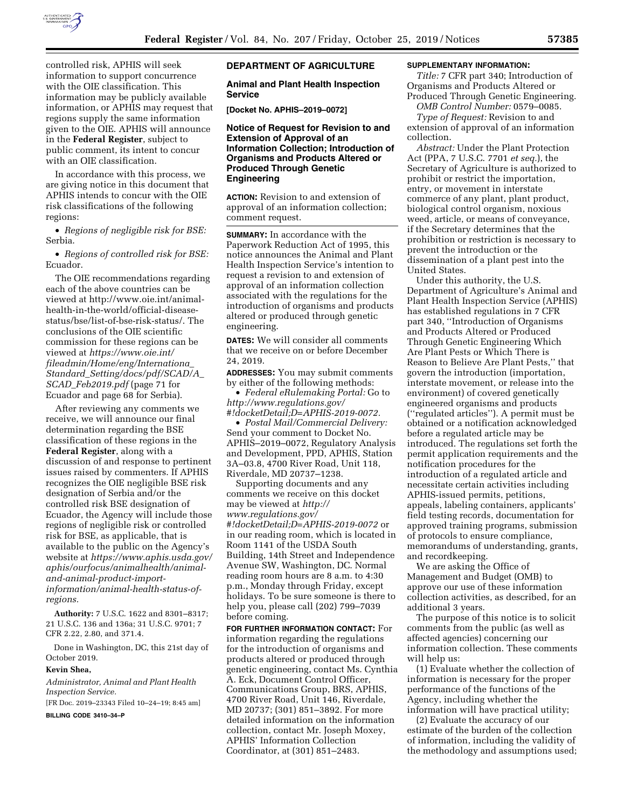

controlled risk, APHIS will seek information to support concurrence with the OIE classification. This information may be publicly available information, or APHIS may request that regions supply the same information given to the OIE. APHIS will announce in the **Federal Register**, subject to public comment, its intent to concur with an OIE classification.

In accordance with this process, we are giving notice in this document that APHIS intends to concur with the OIE risk classifications of the following regions:

• *Regions of negligible risk for BSE:*  Serbia.

• *Regions of controlled risk for BSE:*  Ecuador.

The OIE recommendations regarding each of the above countries can be viewed at [http://www.oie.int/animal](http://www.oie.int/animal-health-in-the-world/official-disease-status/bse/list-of-bse-risk-status/)[health-in-the-world/official-disease](http://www.oie.int/animal-health-in-the-world/official-disease-status/bse/list-of-bse-risk-status/)[status/bse/list-of-bse-risk-status/.](http://www.oie.int/animal-health-in-the-world/official-disease-status/bse/list-of-bse-risk-status/) The conclusions of the OIE scientific commission for these regions can be viewed at *[https://www.oie.int/](https://www.oie.int/fileadmin/Home/eng/Internationa_Standard_Setting/docs/pdf/SCAD/A_SCAD_Feb2019.pdf)  [fileadmin/Home/eng/Internationa](https://www.oie.int/fileadmin/Home/eng/Internationa_Standard_Setting/docs/pdf/SCAD/A_SCAD_Feb2019.pdf)*\_ *Standard*\_*[Setting/docs/pdf/SCAD/A](https://www.oie.int/fileadmin/Home/eng/Internationa_Standard_Setting/docs/pdf/SCAD/A_SCAD_Feb2019.pdf)*\_ *SCAD*\_*[Feb2019.pdf](https://www.oie.int/fileadmin/Home/eng/Internationa_Standard_Setting/docs/pdf/SCAD/A_SCAD_Feb2019.pdf)* (page 71 for Ecuador and page 68 for Serbia).

After reviewing any comments we receive, we will announce our final determination regarding the BSE classification of these regions in the **Federal Register**, along with a discussion of and response to pertinent issues raised by commenters. If APHIS recognizes the OIE negligible BSE risk designation of Serbia and/or the controlled risk BSE designation of Ecuador, the Agency will include those regions of negligible risk or controlled risk for BSE, as applicable, that is available to the public on the Agency's website at *[https://www.aphis.usda.gov/](https://www.aphis.usda.gov/aphis/ourfocus/animalhealth/animal-and-animal-product-import-information/animal-health-status-of-regions)  [aphis/ourfocus/animalhealth/animal](https://www.aphis.usda.gov/aphis/ourfocus/animalhealth/animal-and-animal-product-import-information/animal-health-status-of-regions)[and-animal-product-import](https://www.aphis.usda.gov/aphis/ourfocus/animalhealth/animal-and-animal-product-import-information/animal-health-status-of-regions)[information/animal-health-status-of](https://www.aphis.usda.gov/aphis/ourfocus/animalhealth/animal-and-animal-product-import-information/animal-health-status-of-regions)[regions.](https://www.aphis.usda.gov/aphis/ourfocus/animalhealth/animal-and-animal-product-import-information/animal-health-status-of-regions)* 

**Authority:** 7 U.S.C. 1622 and 8301–8317; 21 U.S.C. 136 and 136a; 31 U.S.C. 9701; 7 CFR 2.22, 2.80, and 371.4.

Done in Washington, DC, this 21st day of October 2019.

#### **Kevin Shea,**

*Administrator, Animal and Plant Health Inspection Service.* 

[FR Doc. 2019–23343 Filed 10–24–19; 8:45 am]

**BILLING CODE 3410–34–P** 

#### **DEPARTMENT OF AGRICULTURE**

**Animal and Plant Health Inspection Service** 

**[Docket No. APHIS–2019–0072]** 

#### **Notice of Request for Revision to and Extension of Approval of an Information Collection; Introduction of Organisms and Products Altered or Produced Through Genetic Engineering**

**ACTION:** Revision to and extension of approval of an information collection; comment request.

**SUMMARY:** In accordance with the Paperwork Reduction Act of 1995, this notice announces the Animal and Plant Health Inspection Service's intention to request a revision to and extension of approval of an information collection associated with the regulations for the introduction of organisms and products altered or produced through genetic engineering.

**DATES:** We will consider all comments that we receive on or before December 24, 2019.

**ADDRESSES:** You may submit comments by either of the following methods:

• *Federal eRulemaking Portal:* Go to *[http://www.regulations.gov/](http://www.regulations.gov/#!docketDetail;D=APHIS-2019-0072)  [#!docketDetail;D=APHIS-2019-0072.](http://www.regulations.gov/#!docketDetail;D=APHIS-2019-0072)* 

• *Postal Mail/Commercial Delivery:*  Send your comment to Docket No. APHIS–2019–0072, Regulatory Analysis and Development, PPD, APHIS, Station 3A–03.8, 4700 River Road, Unit 118, Riverdale, MD 20737–1238.

Supporting documents and any comments we receive on this docket may be viewed at *[http://](http://www.regulations.gov/#!docketDetail;D=APHIS-2019-0072) [www.regulations.gov/](http://www.regulations.gov/#!docketDetail;D=APHIS-2019-0072) [#!docketDetail;D=APHIS-2019-0072](http://www.regulations.gov/#!docketDetail;D=APHIS-2019-0072)* or in our reading room, which is located in Room 1141 of the USDA South Building, 14th Street and Independence Avenue SW, Washington, DC. Normal reading room hours are 8 a.m. to 4:30 p.m., Monday through Friday, except holidays. To be sure someone is there to help you, please call (202) 799–7039 before coming.

**FOR FURTHER INFORMATION CONTACT:** For information regarding the regulations for the introduction of organisms and products altered or produced through genetic engineering, contact Ms. Cynthia A. Eck, Document Control Officer, Communications Group, BRS, APHIS, 4700 River Road, Unit 146, Riverdale, MD 20737; (301) 851–3892. For more detailed information on the information collection, contact Mr. Joseph Moxey, APHIS' Information Collection Coordinator, at (301) 851–2483.

### **SUPPLEMENTARY INFORMATION:**

*Title:* 7 CFR part 340; Introduction of Organisms and Products Altered or Produced Through Genetic Engineering.

*OMB Control Number:* 0579–0085. *Type of Request:* Revision to and

extension of approval of an information collection.

*Abstract:* Under the Plant Protection Act (PPA, 7 U.S.C. 7701 *et seq.*), the Secretary of Agriculture is authorized to prohibit or restrict the importation, entry, or movement in interstate commerce of any plant, plant product, biological control organism, noxious weed, article, or means of conveyance, if the Secretary determines that the prohibition or restriction is necessary to prevent the introduction or the dissemination of a plant pest into the United States.

Under this authority, the U.S. Department of Agriculture's Animal and Plant Health Inspection Service (APHIS) has established regulations in 7 CFR part 340, ''Introduction of Organisms and Products Altered or Produced Through Genetic Engineering Which Are Plant Pests or Which There is Reason to Believe Are Plant Pests,'' that govern the introduction (importation, interstate movement, or release into the environment) of covered genetically engineered organisms and products (''regulated articles''). A permit must be obtained or a notification acknowledged before a regulated article may be introduced. The regulations set forth the permit application requirements and the notification procedures for the introduction of a regulated article and necessitate certain activities including APHIS-issued permits, petitions, appeals, labeling containers, applicants' field testing records, documentation for approved training programs, submission of protocols to ensure compliance, memorandums of understanding, grants, and recordkeeping.

We are asking the Office of Management and Budget (OMB) to approve our use of these information collection activities, as described, for an additional 3 years.

The purpose of this notice is to solicit comments from the public (as well as affected agencies) concerning our information collection. These comments will help us:

(1) Evaluate whether the collection of information is necessary for the proper performance of the functions of the Agency, including whether the information will have practical utility;

(2) Evaluate the accuracy of our estimate of the burden of the collection of information, including the validity of the methodology and assumptions used;